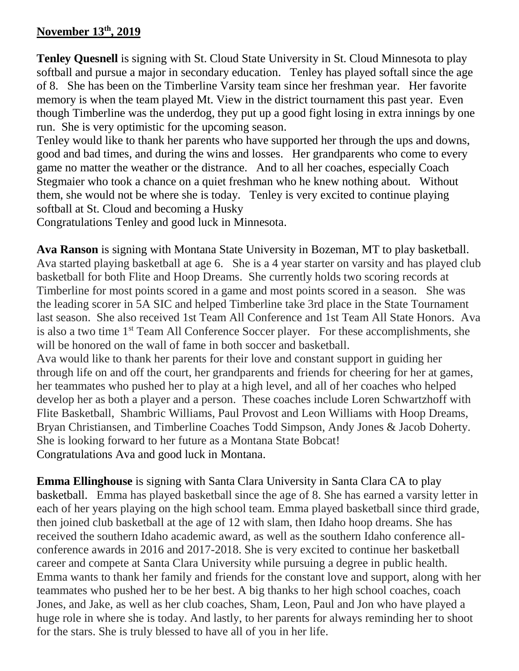## **November 13 th, 2019**

**Tenley Quesnell** is signing with St. Cloud State University in St. Cloud Minnesota to play softball and pursue a major in secondary education. Tenley has played softall since the age of 8. She has been on the Timberline Varsity team since her freshman year. Her favorite memory is when the team played Mt. View in the district tournament this past year. Even though Timberline was the underdog, they put up a good fight losing in extra innings by one run. She is very optimistic for the upcoming season.

Tenley would like to thank her parents who have supported her through the ups and downs, good and bad times, and during the wins and losses. Her grandparents who come to every game no matter the weather or the distrance. And to all her coaches, especially Coach Stegmaier who took a chance on a quiet freshman who he knew nothing about. Without them, she would not be where she is today. Tenley is very excited to continue playing softball at St. Cloud and becoming a Husky

Congratulations Tenley and good luck in Minnesota.

**Ava Ranson** is signing with Montana State University in Bozeman, MT to play basketball. Ava started playing basketball at age 6. She is a 4 year starter on varsity and has played club basketball for both Flite and Hoop Dreams. She currently holds two scoring records at Timberline for most points scored in a game and most points scored in a season. She was the leading scorer in 5A SIC and helped Timberline take 3rd place in the State Tournament last season. She also received 1st Team All Conference and 1st Team All State Honors. Ava is also a two time 1<sup>st</sup> Team All Conference Soccer player. For these accomplishments, she will be honored on the wall of fame in both soccer and basketball.

Ava would like to thank her parents for their love and constant support in guiding her through life on and off the court, her grandparents and friends for cheering for her at games, her teammates who pushed her to play at a high level, and all of her coaches who helped develop her as both a player and a person. These coaches include Loren Schwartzhoff with Flite Basketball, Shambric Williams, Paul Provost and Leon Williams with Hoop Dreams, Bryan Christiansen, and Timberline Coaches Todd Simpson, Andy Jones & Jacob Doherty. She is looking forward to her future as a Montana State Bobcat! Congratulations Ava and good luck in Montana.

**Emma Ellinghouse** is signing with Santa Clara University in Santa Clara CA to play basketball. Emma has played basketball since the age of 8. She has earned a varsity letter in each of her years playing on the high school team. Emma played basketball since third grade, then joined club basketball at the age of 12 with slam, then Idaho hoop dreams. She has received the southern Idaho academic award, as well as the southern Idaho conference allconference awards in 2016 and 2017-2018. She is very excited to continue her basketball career and compete at Santa Clara University while pursuing a degree in public health. Emma wants to thank her family and friends for the constant love and support, along with her teammates who pushed her to be her best. A big thanks to her high school coaches, coach Jones, and Jake, as well as her club coaches, Sham, Leon, Paul and Jon who have played a huge role in where she is today. And lastly, to her parents for always reminding her to shoot for the stars. She is truly blessed to have all of you in her life.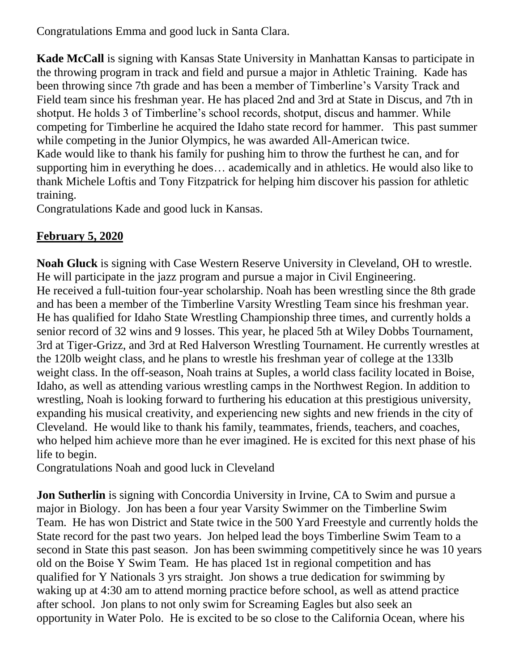Congratulations Emma and good luck in Santa Clara.

**Kade McCall** is signing with Kansas State University in Manhattan Kansas to participate in the throwing program in track and field and pursue a major in Athletic Training. Kade has been throwing since 7th grade and has been a member of Timberline's Varsity Track and Field team since his freshman year. He has placed 2nd and 3rd at State in Discus, and 7th in shotput. He holds 3 of Timberline's school records, shotput, discus and hammer. While competing for Timberline he acquired the Idaho state record for hammer. This past summer while competing in the Junior Olympics, he was awarded All-American twice. Kade would like to thank his family for pushing him to throw the furthest he can, and for supporting him in everything he does… academically and in athletics. He would also like to thank Michele Loftis and Tony Fitzpatrick for helping him discover his passion for athletic training.

Congratulations Kade and good luck in Kansas.

## **February 5, 2020**

**Noah Gluck** is signing with Case Western Reserve University in Cleveland, OH to wrestle. He will participate in the jazz program and pursue a major in Civil Engineering. He received a full-tuition four-year scholarship. Noah has been wrestling since the 8th grade and has been a member of the Timberline Varsity Wrestling Team since his freshman year. He has qualified for Idaho State Wrestling Championship three times, and currently holds a senior record of 32 wins and 9 losses. This year, he placed 5th at Wiley Dobbs Tournament, 3rd at Tiger-Grizz, and 3rd at Red Halverson Wrestling Tournament. He currently wrestles at the 120lb weight class, and he plans to wrestle his freshman year of college at the 133lb weight class. In the off-season, Noah trains at Suples, a world class facility located in Boise, Idaho, as well as attending various wrestling camps in the Northwest Region. In addition to wrestling, Noah is looking forward to furthering his education at this prestigious university, expanding his musical creativity, and experiencing new sights and new friends in the city of Cleveland. He would like to thank his family, teammates, friends, teachers, and coaches, who helped him achieve more than he ever imagined. He is excited for this next phase of his life to begin.

Congratulations Noah and good luck in Cleveland

**Jon Sutherlin** is signing with Concordia University in Irvine, CA to Swim and pursue a major in Biology. Jon has been a four year Varsity Swimmer on the Timberline Swim Team. He has won District and State twice in the 500 Yard Freestyle and currently holds the State record for the past two years. Jon helped lead the boys Timberline Swim Team to a second in State this past season. Jon has been swimming competitively since he was 10 years old on the Boise Y Swim Team. He has placed 1st in regional competition and has qualified for Y Nationals 3 yrs straight. Jon shows a true dedication for swimming by waking up at 4:30 am to attend morning practice before school, as well as attend practice after school. Jon plans to not only swim for Screaming Eagles but also seek an opportunity in Water Polo. He is excited to be so close to the California Ocean, where his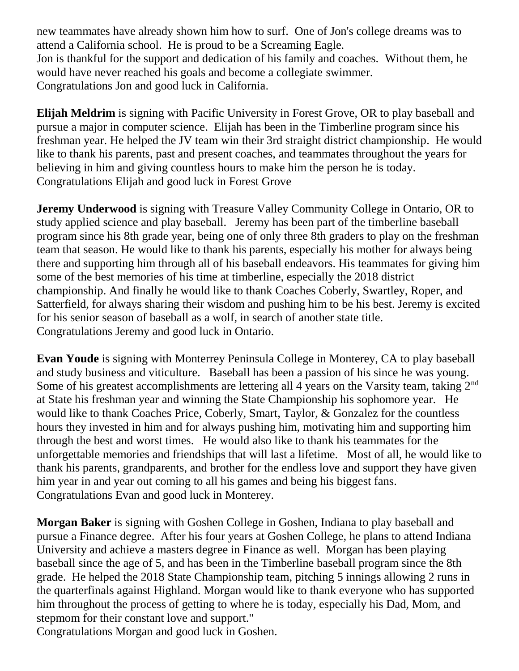new teammates have already shown him how to surf. One of Jon's college dreams was to attend a California school. He is proud to be a Screaming Eagle. Jon is thankful for the support and dedication of his family and coaches. Without them, he would have never reached his goals and become a collegiate swimmer. Congratulations Jon and good luck in California.

**Elijah Meldrim** is signing with Pacific University in Forest Grove, OR to play baseball and pursue a major in computer science. Elijah has been in the Timberline program since his freshman year. He helped the JV team win their 3rd straight district championship. He would like to thank his parents, past and present coaches, and teammates throughout the years for believing in him and giving countless hours to make him the person he is today. Congratulations Elijah and good luck in Forest Grove

**Jeremy Underwood** is signing with Treasure Valley Community College in Ontario, OR to study applied science and play baseball. Jeremy has been part of the timberline baseball program since his 8th grade year, being one of only three 8th graders to play on the freshman team that season. He would like to thank his parents, especially his mother for always being there and supporting him through all of his baseball endeavors. His teammates for giving him some of the best memories of his time at timberline, especially the 2018 district championship. And finally he would like to thank Coaches Coberly, Swartley, Roper, and Satterfield, for always sharing their wisdom and pushing him to be his best. Jeremy is excited for his senior season of baseball as a wolf, in search of another state title. Congratulations Jeremy and good luck in Ontario.

**Evan Youde** is signing with Monterrey Peninsula College in Monterey, CA to play baseball and study business and viticulture. Baseball has been a passion of his since he was young. Some of his greatest accomplishments are lettering all 4 years on the Varsity team, taking 2<sup>nd</sup> at State his freshman year and winning the State Championship his sophomore year. He would like to thank Coaches Price, Coberly, Smart, Taylor, & Gonzalez for the countless hours they invested in him and for always pushing him, motivating him and supporting him through the best and worst times. He would also like to thank his teammates for the unforgettable memories and friendships that will last a lifetime. Most of all, he would like to thank his parents, grandparents, and brother for the endless love and support they have given him year in and year out coming to all his games and being his biggest fans. Congratulations Evan and good luck in Monterey.

**Morgan Baker** is signing with Goshen College in Goshen, Indiana to play baseball and pursue a Finance degree. After his four years at Goshen College, he plans to attend Indiana University and achieve a masters degree in Finance as well. Morgan has been playing baseball since the age of 5, and has been in the Timberline baseball program since the 8th grade. He helped the 2018 State Championship team, pitching 5 innings allowing 2 runs in the quarterfinals against Highland. Morgan would like to thank everyone who has supported him throughout the process of getting to where he is today, especially his Dad, Mom, and stepmom for their constant love and support."

Congratulations Morgan and good luck in Goshen.